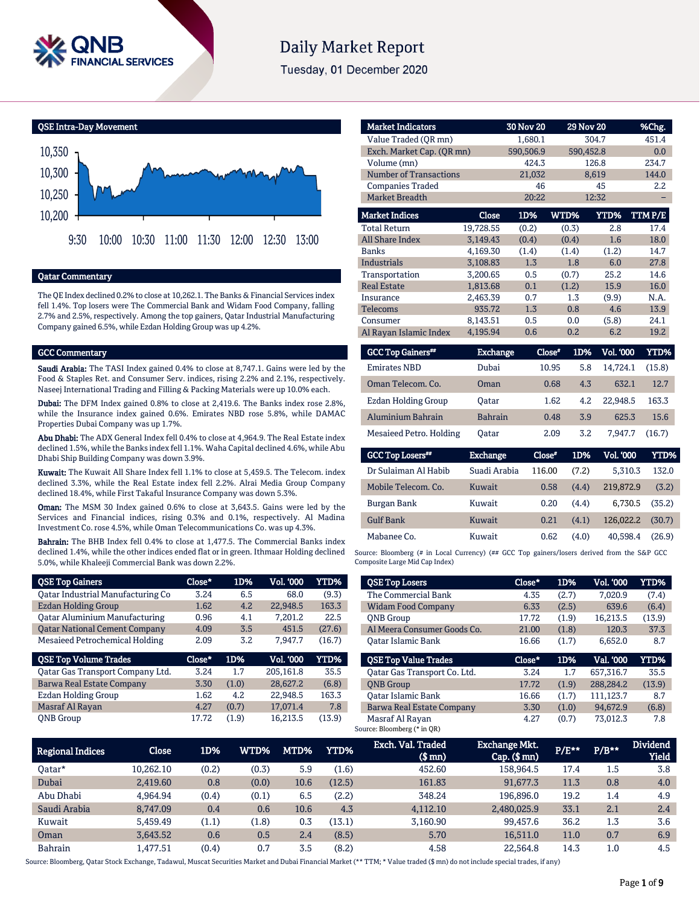

# **Daily Market Report**

Tuesday, 01 December 2020

QSE Intra-Day Movement



# Qatar Commentary

The QE Index declined 0.2% to close at 10,262.1. The Banks & Financial Services index fell 1.4%. Top losers were The Commercial Bank and Widam Food Company, falling 2.7% and 2.5%, respectively. Among the top gainers, Qatar Industrial Manufacturing Company gained 6.5%, while Ezdan Holding Group was up 4.2%.

#### GCC Commentary

Saudi Arabia: The TASI Index gained 0.4% to close at 8,747.1. Gains were led by the Food & Staples Ret. and Consumer Serv. indices, rising 2.2% and 2.1%, respectively. Naseej International Trading and Filling & Packing Materials were up 10.0% each.

Dubai: The DFM Index gained 0.8% to close at 2,419.6. The Banks index rose 2.8%, while the Insurance index gained 0.6%. Emirates NBD rose 5.8%, while DAMAC Properties Dubai Company was up 1.7%.

Abu Dhabi: The ADX General Index fell 0.4% to close at 4,964.9. The Real Estate index declined 1.5%, while the Banks index fell 1.1%. Waha Capital declined 4.6%, while Abu Dhabi Ship Building Company was down 3.9%.

Kuwait: The Kuwait All Share Index fell 1.1% to close at 5,459.5. The Telecom. index declined 3.3%, while the Real Estate index fell 2.2%. Alrai Media Group Company declined 18.4%, while First Takaful Insurance Company was down 5.3%.

Oman: The MSM 30 Index gained 0.6% to close at 3,643.5. Gains were led by the Services and Financial indices, rising 0.3% and 0.1%, respectively. Al Madina Investment Co. rose 4.5%, while Oman Telecommunications Co. was up 4.3%.

Bahrain: The BHB Index fell 0.4% to close at 1,477.5. The Commercial Banks index declined 1.4%, while the other indices ended flat or in green. Ithmaar Holding declined 5.0%, while Khaleeji Commercial Bank was down 2.2%.

| <b>QSE Top Gainers</b>               | Close* | 1D%   | Vol. '000 | <b>YTD%</b> |
|--------------------------------------|--------|-------|-----------|-------------|
| Oatar Industrial Manufacturing Co    | 3.24   | 6.5   | 68.0      | (9.3)       |
| <b>Ezdan Holding Group</b>           | 1.62   | 4.2   | 22,948.5  | 163.3       |
| <b>Qatar Aluminium Manufacturing</b> | 0.96   | 4.1   | 7,201.2   | 22.5        |
| <b>Oatar National Cement Company</b> | 4.09   | 3.5   | 451.5     | (27.6)      |
| Mesaieed Petrochemical Holding       | 2.09   | 3.2   | 7,947.7   | (16.7)      |
|                                      |        |       |           |             |
| <b>QSE Top Volume Trades</b>         | Close* | 1D%   | Vol. '000 | YTD%        |
| Oatar Gas Transport Company Ltd.     | 3.24   | 1.7   | 205,161.8 | 35.5        |
| <b>Barwa Real Estate Company</b>     | 3.30   | (1.0) | 28,627.2  | (6.8)       |
| Ezdan Holding Group                  | 1.62   | 4.2.  | 22.948.5  | 163.3       |
| Masraf Al Rayan                      | 4.27   | (0.7) | 17,071.4  | 7.8         |

| <b>Market Indicators</b>      |           | <b>30 Nov 20</b> |       | <b>29 Nov 20</b> | %Chg.   |
|-------------------------------|-----------|------------------|-------|------------------|---------|
| Value Traded (OR mn)          |           | 1,680.1          |       | 304.7            | 451.4   |
| Exch. Market Cap. (QR mn)     |           | 590,506.9        |       | 590,452.8        | 0.0     |
| Volume (mn)                   |           | 424.3            |       | 126.8            | 234.7   |
| <b>Number of Transactions</b> |           | 21,032           |       | 8,619            | 144.0   |
| <b>Companies Traded</b>       |           | 46               |       | 45               | $2.2\,$ |
| <b>Market Breadth</b>         |           | 20:22            |       | 12:32            |         |
| <b>Market Indices</b>         | Close     | 1D%              | WTD%  | <b>YTD%</b>      | TTMP/E  |
| <b>Total Return</b>           | 19,728.55 | (0.2)            | (0.3) | 2.8              | 17.4    |
| All Share Index               | 3,149.43  | (0.4)            | (0.4) | 1.6              | 18.0    |
| <b>Banks</b>                  | 4,169.30  | (1.4)            | (1.4) | (1.2)            | 14.7    |
| Industrials                   | 3,108.83  | 1.3              | 1.8   | 6.0              | 27.8    |
| Transportation                | 3.200.65  | 0.5              | (0.7) | 25.2             | 14.6    |
| <b>Real Estate</b>            | 1.813.68  | 0.1              | (1.2) | 15.9             | 16.0    |
| Insurance                     | 2,463.39  | 0.7              | 1.3   | (9.9)            | N.A.    |
| Telecoms                      | 935.72    | 1.3              | 0.8   | 4.6              | 13.9    |
| Consumer                      | 8,143.51  | 0.5              | 0.0   | (5.8)            | 24.1    |
| Al Rayan Islamic Index        | 4,195.94  | 0.6              | 0.2   | 6.2              | 19.2    |

| <b>GCC Top Gainers**</b> | <b>Exchange</b> | Close* | 1D% | <b>Vol. '000</b> | YTD%   |
|--------------------------|-----------------|--------|-----|------------------|--------|
| <b>Emirates NBD</b>      | Dubai           | 10.95  | 5.8 | 14.724.1         | (15.8) |
| Oman Telecom. Co.        | Oman            | 0.68   | 4.3 | 632.1            | 12.7   |
| Ezdan Holding Group      | Oatar           | 1.62   | 4.2 | 22.948.5         | 163.3  |
| <b>Aluminium Bahrain</b> | <b>Bahrain</b>  | 0.48   | 3.9 | 625.3            | 15.6   |
| Mesaieed Petro. Holding  | Oatar           | 2.09   | 3.2 | 7.947.7          | (16.7) |

| <b>GCC Top Losers</b> | <b>Exchange</b> | Close* | 1D%   | Vol. '000 | YTD%   |
|-----------------------|-----------------|--------|-------|-----------|--------|
| Dr Sulaiman Al Habib  | Suadi Arabia    | 116.00 | (7.2) | 5.310.3   | 132.0  |
| Mobile Telecom, Co.   | Kuwait          | 0.58   | (4.4) | 219,872.9 | (3.2)  |
| Burgan Bank           | Kuwait          | 0.20   | (4.4) | 6.730.5   | (35.2) |
| <b>Gulf Bank</b>      | Kuwait          | 0.21   | (4.1) | 126,022.2 | (30.7) |
| Mabanee Co.           | Kuwait          | 0.62   | (4.0) | 40.598.4  | (26.9) |

Source: Bloomberg (# in Local Currency) (## GCC Top gainers/losers derived from the S&P GCC Composite Large Mid Cap Index)

| <b>QSE Top Losers</b>            | Close* | 1D%   | Vol. '000 | YTD%   |
|----------------------------------|--------|-------|-----------|--------|
| The Commercial Bank              | 4.35   | (2.7) | 7.020.9   | (7.4)  |
| <b>Widam Food Company</b>        | 6.33   | (2.5) | 639.6     | (6.4)  |
| <b>ONB</b> Group                 | 17.72  | (1.9) | 16,213.5  | (13.9) |
| Al Meera Consumer Goods Co.      | 21.00  | (1.8) | 120.3     | 37.3   |
| Oatar Islamic Bank               | 16.66  | (1.7) | 6.652.0   | 8.7    |
|                                  |        |       |           |        |
| <b>OSE Top Value Trades</b>      | Close* | 1D%   | Val. '000 | YTD%   |
| Oatar Gas Transport Co. Ltd.     | 3.24   | 1.7   | 657,316.7 | 35.5   |
| <b>ONB</b> Group                 | 17.72  | (1.9) | 288,284.2 | (13.9) |
| <b>Oatar Islamic Bank</b>        | 16.66  | (1.7) | 111,123.7 | 8.7    |
| <b>Barwa Real Estate Company</b> | 3.30   | (1.0) | 94.672.9  | (6.8)  |

| <b>Regional Indices</b> | Close     | 1D%   | WTD%  | MTD% | <b>YTD%</b> | Exch. Val. Traded<br>$$$ mm $)$ | Exchange Mkt.<br>$Cap.$ $(\$$ mn $)$ | $P/E***$ | $P/B**$ | <b>Dividend</b><br><b>Yield</b> |
|-------------------------|-----------|-------|-------|------|-------------|---------------------------------|--------------------------------------|----------|---------|---------------------------------|
| Oatar*                  | 10.262.10 | (0.2) | (0.3) | 5.9  | (1.6)       | 452.60                          | 158.964.5                            | 17.4     | 1.5     | 3.8                             |
| Dubai                   | 2,419.60  | 0.8   | (0.0) | 10.6 | (12.5)      | 161.83                          | 91,677.3                             | 11.3     | 0.8     | 4.0                             |
| Abu Dhabi               | 4.964.94  | (0.4) | (0.1) | 6.5  | (2.2)       | 348.24                          | 196.896.0                            | 19.2     | 1.4     | 4.9                             |
| Saudi Arabia            | 8,747.09  | 0.4   | 0.6   | 10.6 | 4.3         | 4,112.10                        | 2,480,025.9                          | 33.1     | 2.1     | 2.4                             |
| Kuwait                  | 5.459.49  | (1.1) | (1.8) | 0.3  | (13.1)      | 3,160.90                        | 99.457.6                             | 36.2     | $1.3\,$ | 3.6                             |
| Oman                    | 3,643.52  | 0.6   | 0.5   | 2.4  | (8.5)       | 5.70                            | 16.511.0                             | 11.0     | 0.7     | 6.9                             |
| Bahrain                 | .477.51   | (0.4) | 0.7   | 3.5  | (8.2)       | 4.58                            | 22.564.8                             | 14.3     | 1.0     | 4.5                             |

Source: Bloomberg, Qatar Stock Exchange, Tadawul, Muscat Securities Market and Dubai Financial Market (\*\* TTM; \* Value traded (\$ mn) do not include special trades, if any)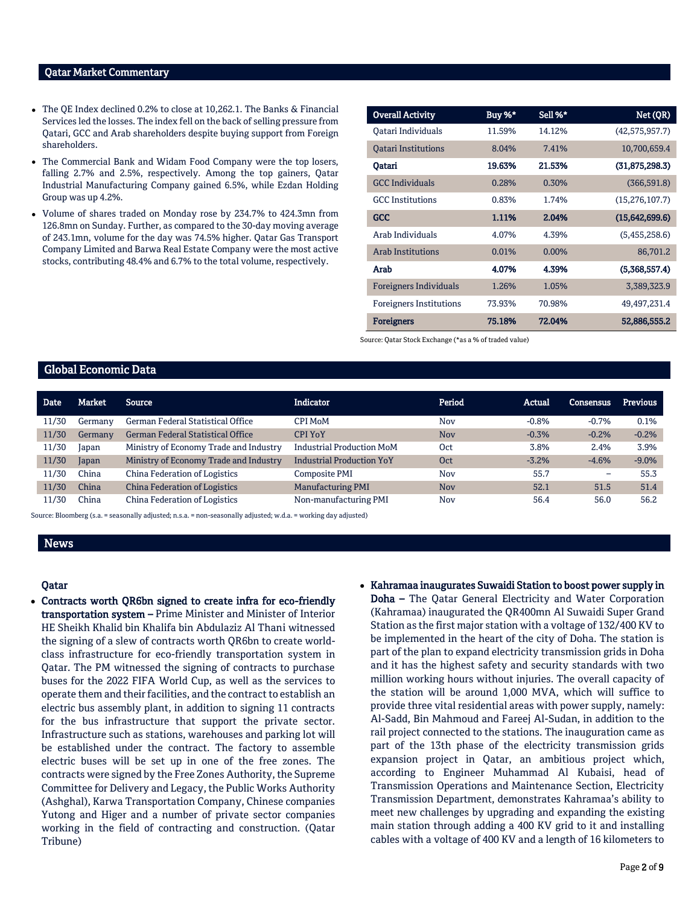## Qatar Market Commentary

- The QE Index declined 0.2% to close at 10,262.1. The Banks & Financial Services led the losses. The index fell on the back of selling pressure from Qatari, GCC and Arab shareholders despite buying support from Foreign shareholders.
- The Commercial Bank and Widam Food Company were the top losers, falling 2.7% and 2.5%, respectively. Among the top gainers, Qatar Industrial Manufacturing Company gained 6.5%, while Ezdan Holding Group was up 4.2%.
- Volume of shares traded on Monday rose by 234.7% to 424.3mn from 126.8mn on Sunday. Further, as compared to the 30-day moving average of 243.1mn, volume for the day was 74.5% higher. Qatar Gas Transport Company Limited and Barwa Real Estate Company were the most active stocks, contributing 48.4% and 6.7% to the total volume, respectively.

| <b>Overall Activity</b>        | Buy %* | Sell %* | Net (QR)         |
|--------------------------------|--------|---------|------------------|
| Oatari Individuals             | 11.59% | 14.12%  | (42, 575, 957.7) |
| <b>Oatari Institutions</b>     | 8.04%  | 7.41%   | 10,700,659.4     |
| Oatari                         | 19.63% | 21.53%  | (31,875,298.3)   |
| <b>GCC</b> Individuals         | 0.28%  | 0.30%   | (366, 591.8)     |
| <b>GCC</b> Institutions        | 0.83%  | 1.74%   | (15, 276, 107.7) |
| <b>GCC</b>                     | 1.11%  | 2.04%   | (15,642,699.6)   |
| Arab Individuals               | 4.07%  | 4.39%   | (5,455,258.6)    |
| <b>Arab Institutions</b>       | 0.01%  | 0.00%   | 86,701.2         |
| Arab                           | 4.07%  | 4.39%   | (5,368,557.4)    |
| <b>Foreigners Individuals</b>  | 1.26%  | 1.05%   | 3,389,323.9      |
| <b>Foreigners Institutions</b> | 73.93% | 70.98%  | 49, 497, 231. 4  |
| <b>Foreigners</b>              | 75.18% | 72.04%  | 52,886,555.2     |

Source: Qatar Stock Exchange (\*as a % of traded value)

# Global Economic Data

| Date  | Market  | Source                                   | <b>Indicator</b>                 | Period     | Actual  | 'Consensus . | <b>Previous</b> |
|-------|---------|------------------------------------------|----------------------------------|------------|---------|--------------|-----------------|
| 11/30 | Germany | German Federal Statistical Office        | CPI MoM                          | Nov        | $-0.8%$ | $-0.7%$      | 0.1%            |
| 11/30 | Germany | <b>German Federal Statistical Office</b> | <b>CPI YoY</b>                   | <b>Nov</b> | $-0.3%$ | $-0.2%$      | $-0.2%$         |
| 11/30 | Japan   | Ministry of Economy Trade and Industry   | <b>Industrial Production MoM</b> | 0ct        | 3.8%    | 2.4%         | 3.9%            |
| 11/30 | Japan   | Ministry of Economy Trade and Industry   | <b>Industrial Production YoY</b> | Oct        | $-3.2%$ | $-4.6%$      | $-9.0%$         |
| 11/30 | China   | China Federation of Logistics            | Composite PMI                    | Nov        | 55.7    | -            | 55.3            |
| 11/30 | China   | <b>China Federation of Logistics</b>     | <b>Manufacturing PMI</b>         | Nov        | 52.1    | 51.5         | 51.4            |
| 11/30 | China   | China Federation of Logistics            | Non-manufacturing PMI            | Nov        | 56.4    | 56.0         | 56.2            |

Source: Bloomberg (s.a. = seasonally adjusted; n.s.a. = non-seasonally adjusted; w.d.a. = working day adjusted)

#### News

### Qatar

 Contracts worth QR6bn signed to create infra for eco-friendly transportation system – Prime Minister and Minister of Interior HE Sheikh Khalid bin Khalifa bin Abdulaziz Al Thani witnessed the signing of a slew of contracts worth QR6bn to create worldclass infrastructure for eco-friendly transportation system in Qatar. The PM witnessed the signing of contracts to purchase buses for the 2022 FIFA World Cup, as well as the services to operate them and their facilities, and the contract to establish an electric bus assembly plant, in addition to signing 11 contracts for the bus infrastructure that support the private sector. Infrastructure such as stations, warehouses and parking lot will be established under the contract. The factory to assemble electric buses will be set up in one of the free zones. The contracts were signed by the Free Zones Authority, the Supreme Committee for Delivery and Legacy, the Public Works Authority (Ashghal), Karwa Transportation Company, Chinese companies Yutong and Higer and a number of private sector companies working in the field of contracting and construction. (Qatar Tribune)

#### Kahramaa inaugurates Suwaidi Station to boost power supply in

Doha – The Qatar General Electricity and Water Corporation (Kahramaa) inaugurated the QR400mn Al Suwaidi Super Grand Station as the first major station with a voltage of 132/400 KV to be implemented in the heart of the city of Doha. The station is part of the plan to expand electricity transmission grids in Doha and it has the highest safety and security standards with two million working hours without injuries. The overall capacity of the station will be around 1,000 MVA, which will suffice to provide three vital residential areas with power supply, namely: Al-Sadd, Bin Mahmoud and Fareej Al-Sudan, in addition to the rail project connected to the stations. The inauguration came as part of the 13th phase of the electricity transmission grids expansion project in Qatar, an ambitious project which, according to Engineer Muhammad Al Kubaisi, head of Transmission Operations and Maintenance Section, Electricity Transmission Department, demonstrates Kahramaa's ability to meet new challenges by upgrading and expanding the existing main station through adding a 400 KV grid to it and installing cables with a voltage of 400 KV and a length of 16 kilometers to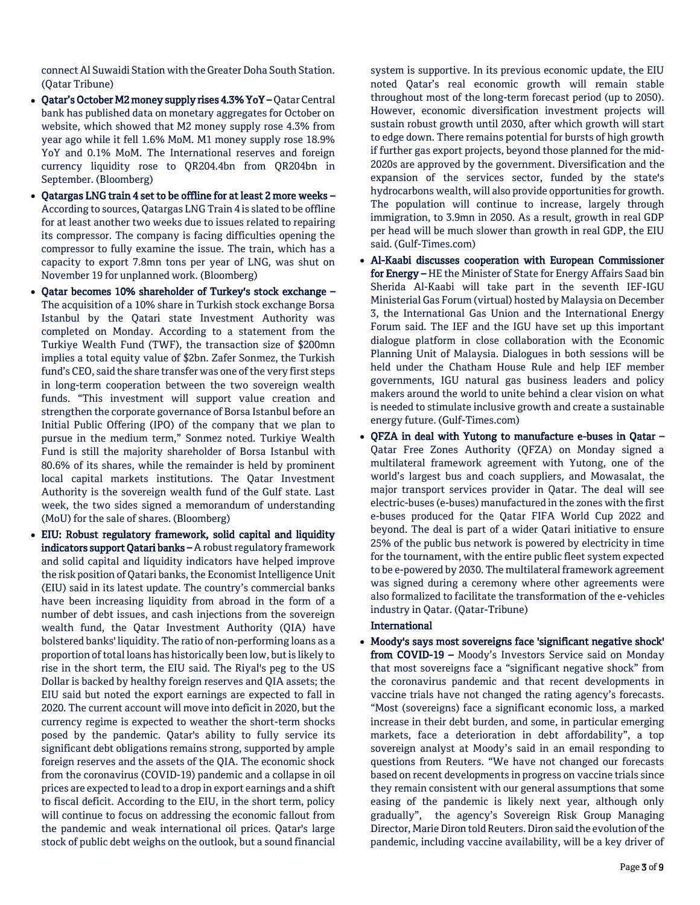connect Al Suwaidi Station with the Greater Doha South Station. (Qatar Tribune)

- Qatar's October M2 money supply rises 4.3% YoY Qatar Central bank has published data on monetary aggregates for October on website, which showed that M2 money supply rose 4.3% from year ago while it fell 1.6% MoM. M1 money supply rose 18.9% YoY and 0.1% MoM. The International reserves and foreign currency liquidity rose to QR204.4bn from QR204bn in September. (Bloomberg)
- Qatargas LNG train 4 set to be offline for at least 2 more weeks According to sources, Qatargas LNG Train 4 is slated to be offline for at least another two weeks due to issues related to repairing its compressor. The company is facing difficulties opening the compressor to fully examine the issue. The train, which has a capacity to export 7.8mn tons per year of LNG, was shut on November 19 for unplanned work. (Bloomberg)
- Qatar becomes 10% shareholder of Turkey's stock exchange The acquisition of a 10% share in Turkish stock exchange Borsa Istanbul by the Qatari state Investment Authority was completed on Monday. According to a statement from the Turkiye Wealth Fund (TWF), the transaction size of \$200mn implies a total equity value of \$2bn. Zafer Sonmez, the Turkish fund's CEO, said the share transfer was one of the very first steps in long-term cooperation between the two sovereign wealth funds. "This investment will support value creation and strengthen the corporate governance of Borsa Istanbul before an Initial Public Offering (IPO) of the company that we plan to pursue in the medium term," Sonmez noted. Turkiye Wealth Fund is still the majority shareholder of Borsa Istanbul with 80.6% of its shares, while the remainder is held by prominent local capital markets institutions. The Qatar Investment Authority is the sovereign wealth fund of the Gulf state. Last week, the two sides signed a memorandum of understanding (MoU) for the sale of shares. (Bloomberg)
- EIU: Robust regulatory framework, solid capital and liquidity indicators support Qatari banks – A robust regulatory framework and solid capital and liquidity indicators have helped improve the risk position of Qatari banks, the Economist Intelligence Unit (EIU) said in its latest update. The country's commercial banks have been increasing liquidity from abroad in the form of a number of debt issues, and cash injections from the sovereign wealth fund, the Qatar Investment Authority (QIA) have bolstered banks' liquidity. The ratio of non-performing loans as a proportion of total loans has historically been low, but is likely to rise in the short term, the EIU said. The Riyal's peg to the US Dollar is backed by healthy foreign reserves and QIA assets; the EIU said but noted the export earnings are expected to fall in 2020. The current account will move into deficit in 2020, but the currency regime is expected to weather the short-term shocks posed by the pandemic. Qatar's ability to fully service its significant debt obligations remains strong, supported by ample foreign reserves and the assets of the QIA. The economic shock from the coronavirus (COVID-19) pandemic and a collapse in oil prices are expected to lead to a drop in export earnings and a shift to fiscal deficit. According to the EIU, in the short term, policy will continue to focus on addressing the economic fallout from the pandemic and weak international oil prices. Qatar's large stock of public debt weighs on the outlook, but a sound financial

system is supportive. In its previous economic update, the EIU noted Qatar's real economic growth will remain stable throughout most of the long-term forecast period (up to 2050). However, economic diversification investment projects will sustain robust growth until 2030, after which growth will start to edge down. There remains potential for bursts of high growth if further gas export projects, beyond those planned for the mid-2020s are approved by the government. Diversification and the expansion of the services sector, funded by the state's hydrocarbons wealth, will also provide opportunities for growth. The population will continue to increase, largely through immigration, to 3.9mn in 2050. As a result, growth in real GDP per head will be much slower than growth in real GDP, the EIU said. (Gulf-Times.com)

- Al-Kaabi discusses cooperation with European Commissioner for Energy – HE the Minister of State for Energy Affairs Saad bin Sherida Al-Kaabi will take part in the seventh IEF-IGU Ministerial Gas Forum (virtual) hosted by Malaysia on December 3, the International Gas Union and the International Energy Forum said. The IEF and the IGU have set up this important dialogue platform in close collaboration with the Economic Planning Unit of Malaysia. Dialogues in both sessions will be held under the Chatham House Rule and help IEF member governments, IGU natural gas business leaders and policy makers around the world to unite behind a clear vision on what is needed to stimulate inclusive growth and create a sustainable energy future. (Gulf-Times.com)
- QFZA in deal with Yutong to manufacture e-buses in Qatar Qatar Free Zones Authority (QFZA) on Monday signed a multilateral framework agreement with Yutong, one of the world's largest bus and coach suppliers, and Mowasalat, the major transport services provider in Qatar. The deal will see electric-buses (e-buses) manufactured in the zones with the first e-buses produced for the Qatar FIFA World Cup 2022 and beyond. The deal is part of a wider Qatari initiative to ensure 25% of the public bus network is powered by electricity in time for the tournament, with the entire public fleet system expected to be e-powered by 2030. The multilateral framework agreement was signed during a ceremony where other agreements were also formalized to facilitate the transformation of the e-vehicles industry in Qatar. (Qatar-Tribune)

# International

 Moody's says most sovereigns face 'significant negative shock' from COVID-19 – Moody's Investors Service said on Monday that most sovereigns face a "significant negative shock" from the coronavirus pandemic and that recent developments in vaccine trials have not changed the rating agency's forecasts. "Most (sovereigns) face a significant economic loss, a marked increase in their debt burden, and some, in particular emerging markets, face a deterioration in debt affordability", a top sovereign analyst at Moody's said in an email responding to questions from Reuters. "We have not changed our forecasts based on recent developments in progress on vaccine trials since they remain consistent with our general assumptions that some easing of the pandemic is likely next year, although only gradually", the agency's Sovereign Risk Group Managing Director, Marie Diron told Reuters. Diron said the evolution of the pandemic, including vaccine availability, will be a key driver of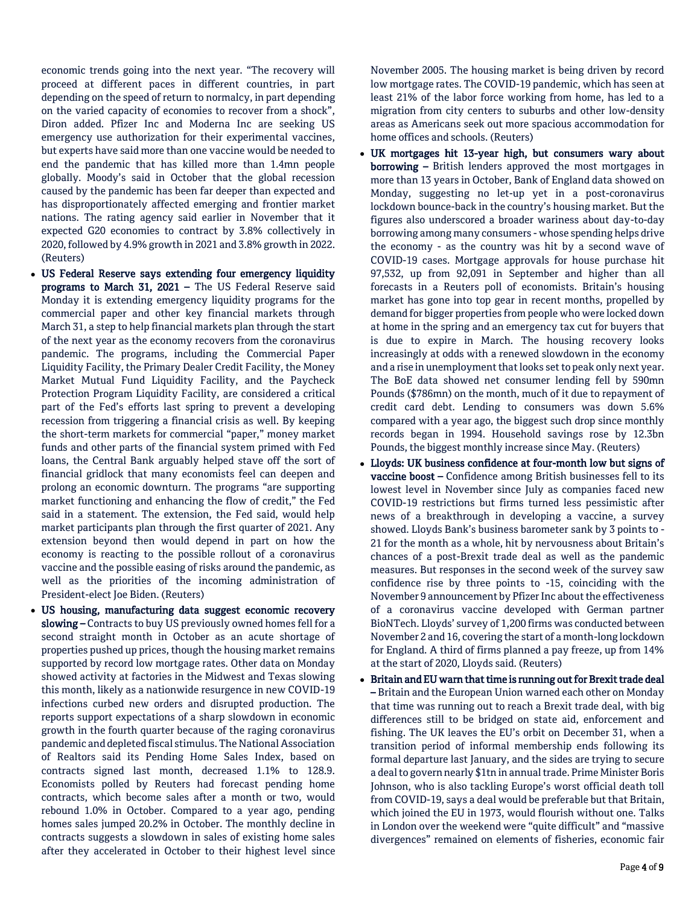economic trends going into the next year. "The recovery will proceed at different paces in different countries, in part depending on the speed of return to normalcy, in part depending on the varied capacity of economies to recover from a shock", Diron added. Pfizer Inc and Moderna Inc are seeking US emergency use authorization for their experimental vaccines, but experts have said more than one vaccine would be needed to end the pandemic that has killed more than 1.4mn people globally. Moody's said in October that the global recession caused by the pandemic has been far deeper than expected and has disproportionately affected emerging and frontier market nations. The rating agency said earlier in November that it expected G20 economies to contract by 3.8% collectively in 2020, followed by 4.9% growth in 2021 and 3.8% growth in 2022. (Reuters)

- US Federal Reserve says extending four emergency liquidity programs to March 31, 2021 – The US Federal Reserve said Monday it is extending emergency liquidity programs for the commercial paper and other key financial markets through March 31, a step to help financial markets plan through the start of the next year as the economy recovers from the coronavirus pandemic. The programs, including the Commercial Paper Liquidity Facility, the Primary Dealer Credit Facility, the Money Market Mutual Fund Liquidity Facility, and the Paycheck Protection Program Liquidity Facility, are considered a critical part of the Fed's efforts last spring to prevent a developing recession from triggering a financial crisis as well. By keeping the short-term markets for commercial "paper," money market funds and other parts of the financial system primed with Fed loans, the Central Bank arguably helped stave off the sort of financial gridlock that many economists feel can deepen and prolong an economic downturn. The programs "are supporting market functioning and enhancing the flow of credit," the Fed said in a statement. The extension, the Fed said, would help market participants plan through the first quarter of 2021. Any extension beyond then would depend in part on how the economy is reacting to the possible rollout of a coronavirus vaccine and the possible easing of risks around the pandemic, as well as the priorities of the incoming administration of President-elect Joe Biden. (Reuters)
- US housing, manufacturing data suggest economic recovery slowing - Contracts to buy US previously owned homes fell for a second straight month in October as an acute shortage of properties pushed up prices, though the housing market remains supported by record low mortgage rates. Other data on Monday showed activity at factories in the Midwest and Texas slowing this month, likely as a nationwide resurgence in new COVID-19 infections curbed new orders and disrupted production. The reports support expectations of a sharp slowdown in economic growth in the fourth quarter because of the raging coronavirus pandemic and depleted fiscal stimulus. The National Association of Realtors said its Pending Home Sales Index, based on contracts signed last month, decreased 1.1% to 128.9. Economists polled by Reuters had forecast pending home contracts, which become sales after a month or two, would rebound 1.0% in October. Compared to a year ago, pending homes sales jumped 20.2% in October. The monthly decline in contracts suggests a slowdown in sales of existing home sales after they accelerated in October to their highest level since

November 2005. The housing market is being driven by record low mortgage rates. The COVID-19 pandemic, which has seen at least 21% of the labor force working from home, has led to a migration from city centers to suburbs and other low-density areas as Americans seek out more spacious accommodation for home offices and schools. (Reuters)

- UK mortgages hit 13-year high, but consumers wary about **borrowing –** British lenders approved the most mortgages in more than 13 years in October, Bank of England data showed on Monday, suggesting no let-up yet in a post-coronavirus lockdown bounce-back in the country's housing market. But the figures also underscored a broader wariness about day-to-day borrowing among many consumers - whose spending helps drive the economy - as the country was hit by a second wave of COVID-19 cases. Mortgage approvals for house purchase hit 97,532, up from 92,091 in September and higher than all forecasts in a Reuters poll of economists. Britain's housing market has gone into top gear in recent months, propelled by demand for bigger properties from people who were locked down at home in the spring and an emergency tax cut for buyers that is due to expire in March. The housing recovery looks increasingly at odds with a renewed slowdown in the economy and a rise in unemployment that looks set to peak only next year. The BoE data showed net consumer lending fell by 590mn Pounds (\$786mn) on the month, much of it due to repayment of credit card debt. Lending to consumers was down 5.6% compared with a year ago, the biggest such drop since monthly records began in 1994. Household savings rose by 12.3bn Pounds, the biggest monthly increase since May. (Reuters)
- Lloyds: UK business confidence at four-month low but signs of vaccine boost – Confidence among British businesses fell to its lowest level in November since July as companies faced new COVID-19 restrictions but firms turned less pessimistic after news of a breakthrough in developing a vaccine, a survey showed. Lloyds Bank's business barometer sank by 3 points to - 21 for the month as a whole, hit by nervousness about Britain's chances of a post-Brexit trade deal as well as the pandemic measures. But responses in the second week of the survey saw confidence rise by three points to -15, coinciding with the November 9 announcement by Pfizer Inc about the effectiveness of a coronavirus vaccine developed with German partner BioNTech. Lloyds' survey of 1,200 firms was conducted between November 2 and 16, covering the start of a month-long lockdown for England. A third of firms planned a pay freeze, up from 14% at the start of 2020, Lloyds said. (Reuters)
- Britain and EU warn that time is running out for Brexit trade deal – Britain and the European Union warned each other on Monday that time was running out to reach a Brexit trade deal, with big differences still to be bridged on state aid, enforcement and fishing. The UK leaves the EU's orbit on December 31, when a transition period of informal membership ends following its formal departure last January, and the sides are trying to secure a deal to govern nearly \$1tn in annual trade. Prime Minister Boris Johnson, who is also tackling Europe's worst official death toll from COVID-19, says a deal would be preferable but that Britain, which joined the EU in 1973, would flourish without one. Talks in London over the weekend were "quite difficult" and "massive divergences" remained on elements of fisheries, economic fair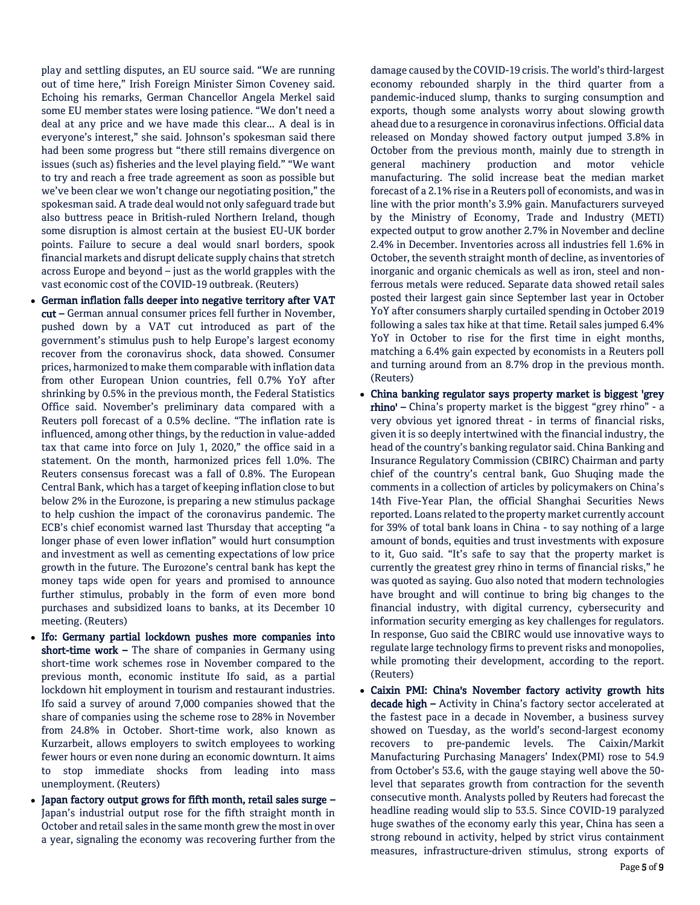play and settling disputes, an EU source said. "We are running out of time here," Irish Foreign Minister Simon Coveney said. Echoing his remarks, German Chancellor Angela Merkel said some EU member states were losing patience. "We don't need a deal at any price and we have made this clear... A deal is in everyone's interest," she said. Johnson's spokesman said there had been some progress but "there still remains divergence on issues (such as) fisheries and the level playing field." "We want to try and reach a free trade agreement as soon as possible but we've been clear we won't change our negotiating position," the spokesman said. A trade deal would not only safeguard trade but also buttress peace in British-ruled Northern Ireland, though some disruption is almost certain at the busiest EU-UK border points. Failure to secure a deal would snarl borders, spook financial markets and disrupt delicate supply chains that stretch across Europe and beyond – just as the world grapples with the vast economic cost of the COVID-19 outbreak. (Reuters)

- German inflation falls deeper into negative territory after VAT cut – German annual consumer prices fell further in November, pushed down by a VAT cut introduced as part of the government's stimulus push to help Europe's largest economy recover from the coronavirus shock, data showed. Consumer prices, harmonized to make them comparable with inflation data from other European Union countries, fell 0.7% YoY after shrinking by 0.5% in the previous month, the Federal Statistics Office said. November's preliminary data compared with a Reuters poll forecast of a 0.5% decline. "The inflation rate is influenced, among other things, by the reduction in value-added tax that came into force on July 1, 2020," the office said in a statement. On the month, harmonized prices fell 1.0%. The Reuters consensus forecast was a fall of 0.8%. The European Central Bank, which has a target of keeping inflation close to but below 2% in the Eurozone, is preparing a new stimulus package to help cushion the impact of the coronavirus pandemic. The ECB's chief economist warned last Thursday that accepting "a longer phase of even lower inflation" would hurt consumption and investment as well as cementing expectations of low price growth in the future. The Eurozone's central bank has kept the money taps wide open for years and promised to announce further stimulus, probably in the form of even more bond purchases and subsidized loans to banks, at its December 10 meeting. (Reuters)
- Ifo: Germany partial lockdown pushes more companies into short-time work – The share of companies in Germany using short-time work schemes rose in November compared to the previous month, economic institute Ifo said, as a partial lockdown hit employment in tourism and restaurant industries. Ifo said a survey of around 7,000 companies showed that the share of companies using the scheme rose to 28% in November from 24.8% in October. Short-time work, also known as Kurzarbeit, allows employers to switch employees to working fewer hours or even none during an economic downturn. It aims to stop immediate shocks from leading into mass unemployment. (Reuters)
- $\bullet$  Japan factory output grows for fifth month, retail sales surge  $-$ Japan's industrial output rose for the fifth straight month in October and retail sales in the same month grew the most in over a year, signaling the economy was recovering further from the

damage caused by the COVID-19 crisis. The world's third-largest economy rebounded sharply in the third quarter from a pandemic-induced slump, thanks to surging consumption and exports, though some analysts worry about slowing growth ahead due to a resurgence in coronavirus infections. Official data released on Monday showed factory output jumped 3.8% in October from the previous month, mainly due to strength in general machinery production and motor vehicle manufacturing. The solid increase beat the median market forecast of a 2.1% rise in a Reuters poll of economists, and was in line with the prior month's 3.9% gain. Manufacturers surveyed by the Ministry of Economy, Trade and Industry (METI) expected output to grow another 2.7% in November and decline 2.4% in December. Inventories across all industries fell 1.6% in October, the seventh straight month of decline, as inventories of inorganic and organic chemicals as well as iron, steel and nonferrous metals were reduced. Separate data showed retail sales posted their largest gain since September last year in October YoY after consumers sharply curtailed spending in October 2019 following a sales tax hike at that time. Retail sales jumped 6.4% YoY in October to rise for the first time in eight months, matching a 6.4% gain expected by economists in a Reuters poll and turning around from an 8.7% drop in the previous month. (Reuters)

- China banking regulator says property market is biggest 'grey rhino' – China's property market is the biggest "grey rhino" - a very obvious yet ignored threat - in terms of financial risks, given it is so deeply intertwined with the financial industry, the head of the country's banking regulator said. China Banking and Insurance Regulatory Commission (CBIRC) Chairman and party chief of the country's central bank, Guo Shuqing made the comments in a collection of articles by policymakers on China's 14th Five-Year Plan, the official Shanghai Securities News reported. Loans related to the property market currently account for 39% of total bank loans in China - to say nothing of a large amount of bonds, equities and trust investments with exposure to it, Guo said. "It's safe to say that the property market is currently the greatest grey rhino in terms of financial risks," he was quoted as saying. Guo also noted that modern technologies have brought and will continue to bring big changes to the financial industry, with digital currency, cybersecurity and information security emerging as key challenges for regulators. In response, Guo said the CBIRC would use innovative ways to regulate large technology firms to prevent risks and monopolies, while promoting their development, according to the report. (Reuters)
- Caixin PMI: China's November factory activity growth hits decade high - Activity in China's factory sector accelerated at the fastest pace in a decade in November, a business survey showed on Tuesday, as the world's second-largest economy recovers to pre-pandemic levels. The Caixin/Markit Manufacturing Purchasing Managers' Index(PMI) rose to 54.9 from October's 53.6, with the gauge staying well above the 50 level that separates growth from contraction for the seventh consecutive month. Analysts polled by Reuters had forecast the headline reading would slip to 53.5. Since COVID-19 paralyzed huge swathes of the economy early this year, China has seen a strong rebound in activity, helped by strict virus containment measures, infrastructure-driven stimulus, strong exports of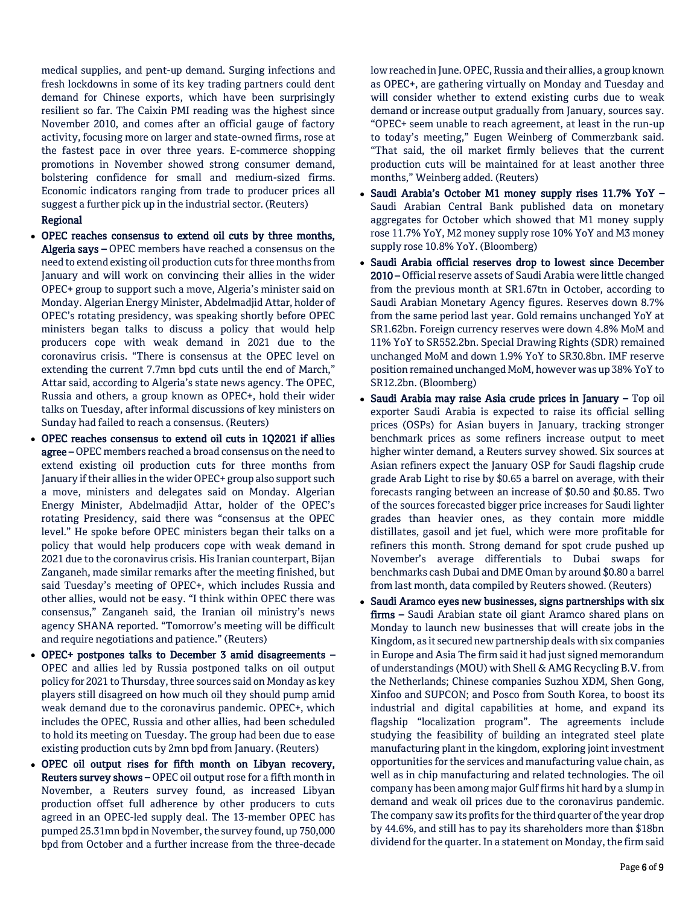medical supplies, and pent-up demand. Surging infections and fresh lockdowns in some of its key trading partners could dent demand for Chinese exports, which have been surprisingly resilient so far. The Caixin PMI reading was the highest since November 2010, and comes after an official gauge of factory activity, focusing more on larger and state-owned firms, rose at the fastest pace in over three years. E-commerce shopping promotions in November showed strong consumer demand, bolstering confidence for small and medium-sized firms. Economic indicators ranging from trade to producer prices all suggest a further pick up in the industrial sector. (Reuters)

# Regional

- OPEC reaches consensus to extend oil cuts by three months, Algeria says – OPEC members have reached a consensus on the need to extend existing oil production cuts for three months from January and will work on convincing their allies in the wider OPEC+ group to support such a move, Algeria's minister said on Monday. Algerian Energy Minister, Abdelmadjid Attar, holder of OPEC's rotating presidency, was speaking shortly before OPEC ministers began talks to discuss a policy that would help producers cope with weak demand in 2021 due to the coronavirus crisis. "There is consensus at the OPEC level on extending the current 7.7mn bpd cuts until the end of March," Attar said, according to Algeria's state news agency. The OPEC, Russia and others, a group known as OPEC+, hold their wider talks on Tuesday, after informal discussions of key ministers on Sunday had failed to reach a consensus. (Reuters)
- OPEC reaches consensus to extend oil cuts in 1Q2021 if allies agree - OPEC members reached a broad consensus on the need to extend existing oil production cuts for three months from January if their allies in the wider OPEC+ group also support such a move, ministers and delegates said on Monday. Algerian Energy Minister, Abdelmadjid Attar, holder of the OPEC's rotating Presidency, said there was "consensus at the OPEC level." He spoke before OPEC ministers began their talks on a policy that would help producers cope with weak demand in 2021 due to the coronavirus crisis. His Iranian counterpart, Bijan Zanganeh, made similar remarks after the meeting finished, but said Tuesday's meeting of OPEC+, which includes Russia and other allies, would not be easy. "I think within OPEC there was consensus," Zanganeh said, the Iranian oil ministry's news agency SHANA reported. "Tomorrow's meeting will be difficult and require negotiations and patience." (Reuters)
- OPEC+ postpones talks to December 3 amid disagreements OPEC and allies led by Russia postponed talks on oil output policy for 2021 to Thursday, three sources said on Monday as key players still disagreed on how much oil they should pump amid weak demand due to the coronavirus pandemic. OPEC+, which includes the OPEC, Russia and other allies, had been scheduled to hold its meeting on Tuesday. The group had been due to ease existing production cuts by 2mn bpd from January. (Reuters)
- OPEC oil output rises for fifth month on Libyan recovery, Reuters survey shows – OPEC oil output rose for a fifth month in November, a Reuters survey found, as increased Libyan production offset full adherence by other producers to cuts agreed in an OPEC-led supply deal. The 13-member OPEC has pumped 25.31mn bpd in November, the survey found, up 750,000 bpd from October and a further increase from the three-decade

low reached in June. OPEC, Russia and their allies, a group known as OPEC+, are gathering virtually on Monday and Tuesday and will consider whether to extend existing curbs due to weak demand or increase output gradually from January, sources say. "OPEC+ seem unable to reach agreement, at least in the run-up to today's meeting," Eugen Weinberg of Commerzbank said. "That said, the oil market firmly believes that the current production cuts will be maintained for at least another three months," Weinberg added. (Reuters)

- Saudi Arabia's October M1 money supply rises 11.7% YoY Saudi Arabian Central Bank published data on monetary aggregates for October which showed that M1 money supply rose 11.7% YoY, M2 money supply rose 10% YoY and M3 money supply rose 10.8% YoY. (Bloomberg)
- Saudi Arabia official reserves drop to lowest since December 2010 – Official reserve assets of Saudi Arabia were little changed from the previous month at SR1.67tn in October, according to Saudi Arabian Monetary Agency figures. Reserves down 8.7% from the same period last year. Gold remains unchanged YoY at SR1.62bn. Foreign currency reserves were down 4.8% MoM and 11% YoY to SR552.2bn. Special Drawing Rights (SDR) remained unchanged MoM and down 1.9% YoY to SR30.8bn. IMF reserve position remained unchanged MoM, however was up 38% YoY to SR12.2bn. (Bloomberg)
- Saudi Arabia may raise Asia crude prices in January Top oil exporter Saudi Arabia is expected to raise its official selling prices (OSPs) for Asian buyers in January, tracking stronger benchmark prices as some refiners increase output to meet higher winter demand, a Reuters survey showed. Six sources at Asian refiners expect the January OSP for Saudi flagship crude grade Arab Light to rise by \$0.65 a barrel on average, with their forecasts ranging between an increase of \$0.50 and \$0.85. Two of the sources forecasted bigger price increases for Saudi lighter grades than heavier ones, as they contain more middle distillates, gasoil and jet fuel, which were more profitable for refiners this month. Strong demand for spot crude pushed up November's average differentials to Dubai swaps for benchmarks cash Dubai and DME Oman by around \$0.80 a barrel from last month, data compiled by Reuters showed. (Reuters)
- Saudi Aramco eyes new businesses, signs partnerships with six firms - Saudi Arabian state oil giant Aramco shared plans on Monday to launch new businesses that will create jobs in the Kingdom, as it secured new partnership deals with six companies in Europe and Asia The firm said it had just signed memorandum of understandings (MOU) with Shell & AMG Recycling B.V. from the Netherlands; Chinese companies Suzhou XDM, Shen Gong, Xinfoo and SUPCON; and Posco from South Korea, to boost its industrial and digital capabilities at home, and expand its flagship "localization program". The agreements include studying the feasibility of building an integrated steel plate manufacturing plant in the kingdom, exploring joint investment opportunities for the services and manufacturing value chain, as well as in chip manufacturing and related technologies. The oil company has been among major Gulf firms hit hard by a slump in demand and weak oil prices due to the coronavirus pandemic. The company saw its profits for the third quarter of the year drop by 44.6%, and still has to pay its shareholders more than \$18bn dividend for the quarter. In a statement on Monday, the firm said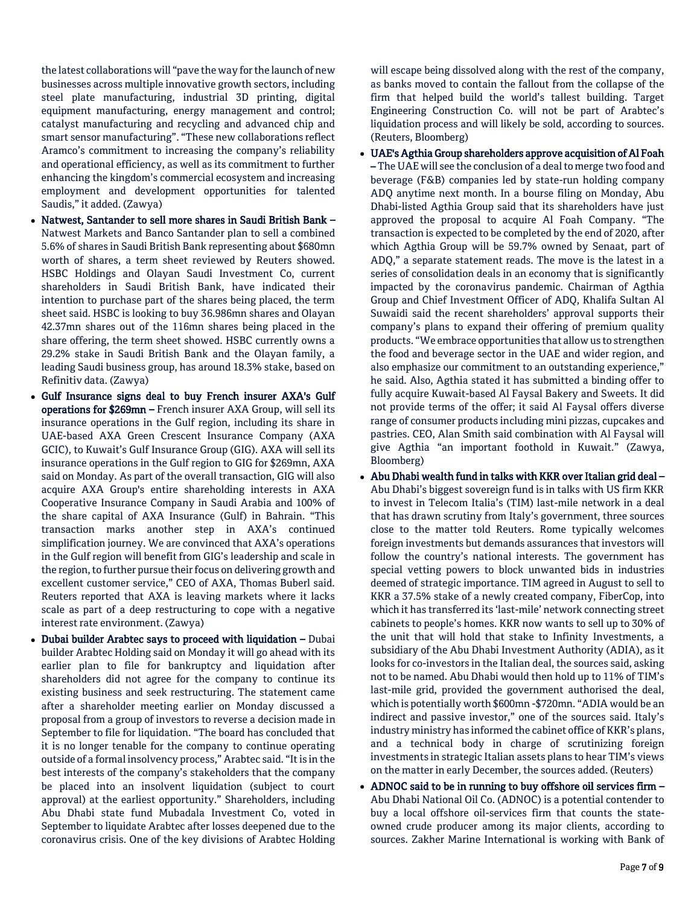the latest collaborations will "pave the way for the launch of new businesses across multiple innovative growth sectors, including steel plate manufacturing, industrial 3D printing, digital equipment manufacturing, energy management and control; catalyst manufacturing and recycling and advanced chip and smart sensor manufacturing". "These new collaborations reflect Aramco's commitment to increasing the company's reliability and operational efficiency, as well as its commitment to further enhancing the kingdom's commercial ecosystem and increasing employment and development opportunities for talented Saudis," it added. (Zawya)

- Natwest, Santander to sell more shares in Saudi British Bank Natwest Markets and Banco Santander plan to sell a combined 5.6% of shares in Saudi British Bank representing about \$680mn worth of shares, a term sheet reviewed by Reuters showed. HSBC Holdings and Olayan Saudi Investment Co, current shareholders in Saudi British Bank, have indicated their intention to purchase part of the shares being placed, the term sheet said. HSBC is looking to buy 36.986mn shares and Olayan 42.37mn shares out of the 116mn shares being placed in the share offering, the term sheet showed. HSBC currently owns a 29.2% stake in Saudi British Bank and the Olayan family, a leading Saudi business group, has around 18.3% stake, based on Refinitiv data. (Zawya)
- Gulf Insurance signs deal to buy French insurer AXA's Gulf operations for \$269mn – French insurer AXA Group, will sell its insurance operations in the Gulf region, including its share in UAE-based AXA Green Crescent Insurance Company (AXA GCIC), to Kuwait's Gulf Insurance Group (GIG). AXA will sell its insurance operations in the Gulf region to GIG for \$269mn, AXA said on Monday. As part of the overall transaction, GIG will also acquire AXA Group's entire shareholding interests in AXA Cooperative Insurance Company in Saudi Arabia and 100% of the share capital of AXA Insurance (Gulf) in Bahrain. "This transaction marks another step in AXA's continued simplification journey. We are convinced that AXA's operations in the Gulf region will benefit from GIG's leadership and scale in the region, to further pursue their focus on delivering growth and excellent customer service," CEO of AXA, Thomas Buberl said. Reuters reported that AXA is leaving markets where it lacks scale as part of a deep restructuring to cope with a negative interest rate environment. (Zawya)
- Dubai builder Arabtec says to proceed with liquidation Dubai builder Arabtec Holding said on Monday it will go ahead with its earlier plan to file for bankruptcy and liquidation after shareholders did not agree for the company to continue its existing business and seek restructuring. The statement came after a shareholder meeting earlier on Monday discussed a proposal from a group of investors to reverse a decision made in September to file for liquidation. "The board has concluded that it is no longer tenable for the company to continue operating outside of a formal insolvency process," Arabtec said. "It is in the best interests of the company's stakeholders that the company be placed into an insolvent liquidation (subject to court approval) at the earliest opportunity." Shareholders, including Abu Dhabi state fund Mubadala Investment Co, voted in September to liquidate Arabtec after losses deepened due to the coronavirus crisis. One of the key divisions of Arabtec Holding

will escape being dissolved along with the rest of the company, as banks moved to contain the fallout from the collapse of the firm that helped build the world's tallest building. Target Engineering Construction Co. will not be part of Arabtec's liquidation process and will likely be sold, according to sources. (Reuters, Bloomberg)

- UAE's Agthia Group shareholders approve acquisition of Al Foah – The UAE will see the conclusion of a deal to merge two food and beverage (F&B) companies led by state-run holding company ADQ anytime next month. In a bourse filing on Monday, Abu Dhabi-listed Agthia Group said that its shareholders have just approved the proposal to acquire Al Foah Company. "The transaction is expected to be completed by the end of 2020, after which Agthia Group will be 59.7% owned by Senaat, part of ADQ," a separate statement reads. The move is the latest in a series of consolidation deals in an economy that is significantly impacted by the coronavirus pandemic. Chairman of Agthia Group and Chief Investment Officer of ADQ, Khalifa Sultan Al Suwaidi said the recent shareholders' approval supports their company's plans to expand their offering of premium quality products. "We embrace opportunities that allow us to strengthen the food and beverage sector in the UAE and wider region, and also emphasize our commitment to an outstanding experience," he said. Also, Agthia stated it has submitted a binding offer to fully acquire Kuwait-based Al Faysal Bakery and Sweets. It did not provide terms of the offer; it said Al Faysal offers diverse range of consumer products including mini pizzas, cupcakes and pastries. CEO, Alan Smith said combination with Al Faysal will give Agthia "an important foothold in Kuwait." (Zawya, Bloomberg)
- Abu Dhabi wealth fund in talks with KKR over Italian grid deal Abu Dhabi's biggest sovereign fund is in talks with US firm KKR to invest in Telecom Italia's (TIM) last-mile network in a deal that has drawn scrutiny from Italy's government, three sources close to the matter told Reuters. Rome typically welcomes foreign investments but demands assurances that investors will follow the country's national interests. The government has special vetting powers to block unwanted bids in industries deemed of strategic importance. TIM agreed in August to sell to KKR a 37.5% stake of a newly created company, FiberCop, into which it has transferred its 'last-mile' network connecting street cabinets to people's homes. KKR now wants to sell up to 30% of the unit that will hold that stake to Infinity Investments, a subsidiary of the Abu Dhabi Investment Authority (ADIA), as it looks for co-investors in the Italian deal, the sources said, asking not to be named. Abu Dhabi would then hold up to 11% of TIM's last-mile grid, provided the government authorised the deal, which is potentially worth \$600mn -\$720mn. "ADIA would be an indirect and passive investor," one of the sources said. Italy's industry ministry has informed the cabinet office of KKR's plans, and a technical body in charge of scrutinizing foreign investments in strategic Italian assets plans to hear TIM's views on the matter in early December, the sources added. (Reuters)
- ADNOC said to be in running to buy offshore oil services firm Abu Dhabi National Oil Co. (ADNOC) is a potential contender to buy a local offshore oil-services firm that counts the stateowned crude producer among its major clients, according to sources. Zakher Marine International is working with Bank of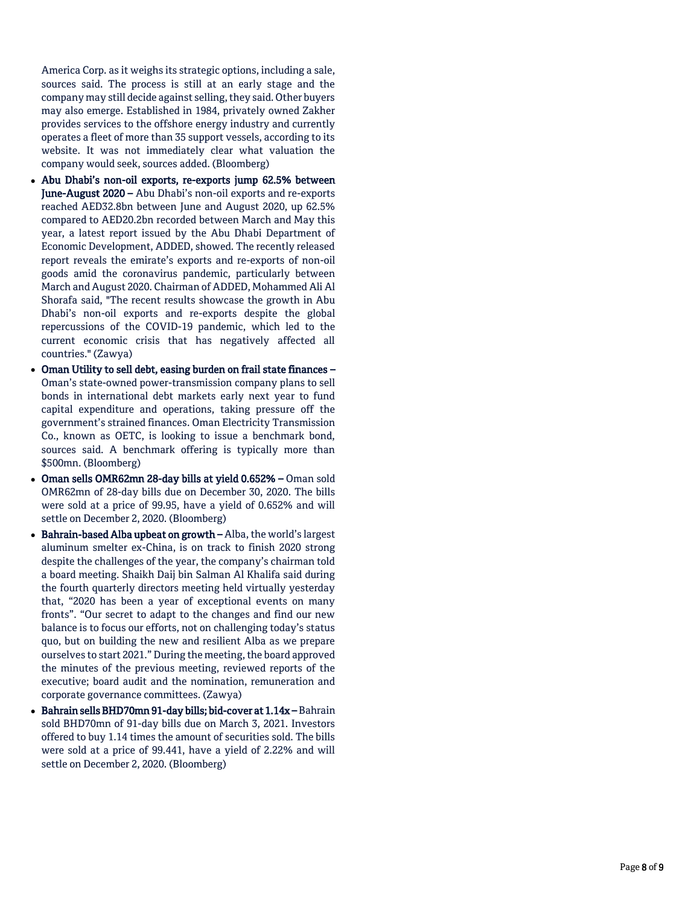America Corp. as it weighs its strategic options, including a sale, sources said. The process is still at an early stage and the company may still decide against selling, they said. Other buyers may also emerge. Established in 1984, privately owned Zakher provides services to the offshore energy industry and currently operates a fleet of more than 35 support vessels, according to its website. It was not immediately clear what valuation the company would seek, sources added. (Bloomberg)

- Abu Dhabi's non -oil exports, re -exports jump 62.5% between June-August 2020 – Abu Dhabi's non-oil exports and re-exports reached AED32.8bn between June and August 2020, up 62.5% compared to AED20.2bn recorded between March and May this year, a latest report issued by the Abu Dhabi Department of Economic Development, ADDED, showed. The recently released report reveals the emirate's exports and re-exports of non-oil goods amid the coronavirus pandemic, particularly between March and August 2020. Chairman of ADDED, Mohammed Ali Al Shorafa said, "The recent results showcase the growth in Abu Dhabi's non -oil exports and re -exports despite the global repercussions of the COVID -19 pandemic, which led to the current economic crisis that has negatively affected all countries." (Zawya)
- Oman Utility to sell debt, easing burden on frail state finances Oman's state -owned power -transmission company plans to sell bonds in international debt markets early next year to fund capital expenditure and operations, taking pressure off the government's strained finances. Oman Electricity Transmission Co., known as OETC, is looking to issue a benchmark bond, sources said. A benchmark offering is typically more than \$500mn. (Bloomberg)
- Oman sells OMR62mn 28-day bills at yield 0.652% Oman sold OMR62mn of 28 -day bills due on December 30, 2020. The bills were sold at a price of 99.95, have a yield of 0.652% and will settle on December 2, 2020. (Bloomberg)
- Bahrain-based Alba upbeat on growth Alba, the world's largest aluminum smelter ex -China, is on track to finish 2020 strong despite the challenges of the year, the company's chairman told a board meeting. Shaikh Daij bin Salman Al Khalifa said during the fourth quarterly directors meeting held virtually yesterday that, "2020 has been a year of exceptional events on many fronts". "Our secret to adapt to the changes and find our new balance is to focus our efforts, not on challenging today's status quo, but on building the new and resilient Alba as we prepare ourselves to start 2021." During the meeting, the board approved the minutes of the previous meeting, reviewed reports of the executive; board audit and the nomination, remuneration and corporate governance committees. (Zawya)
- Bahrain sells BHD70mn 91-day bills; bid-cover at 1.14x Bahrain sold BHD70mn of 91 -day bills due on March 3, 2021. Investors offered to buy 1.14 times the amount of securities sold. The bills were sold at a price of 99.441, have a yield of 2.22% and will settle on December 2, 2020. (Bloomberg)